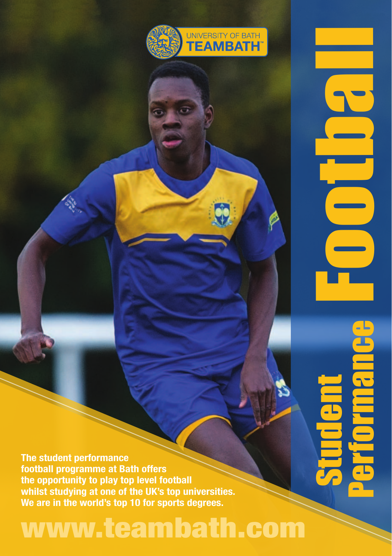

**The student performance football programme at Bath offers the opportunity to play top level football whilst studying at one of the UK's top universities. We are in the world's top 10 for sports degrees.**

## www.teambath.com

Football Student Performance